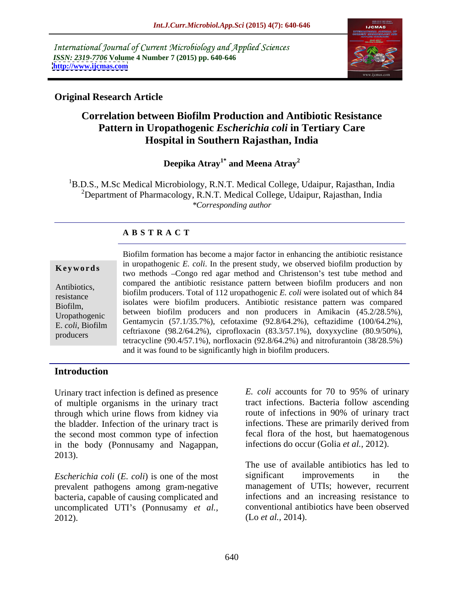International Journal of Current Microbiology and Applied Sciences *ISSN: 2319-7706* **Volume 4 Number 7 (2015) pp. 640-646 <http://www.ijcmas.com>**



### **Original Research Article**

# **Correlation between Biofilm Production and Antibiotic Resistance Pattern in Uropathogenic** *Escherichia coli* **in Tertiary Care Hospital in Southern Rajasthan, India**

Deepika Atrav<sup>1\*</sup> and Meena Atrav<sup>2</sup>  **and Meena Atray<sup>2</sup>**

<sup>1</sup>B.D.S., M.Sc Medical Microbiology, R.N.T. Medical College, Udaipur, Rajasthan, India <sup>2</sup>Department of Pharmacology, R.N.T. Medical College, Udaipur, Rajasthan, India *\*Corresponding author*

### **A B S T R A C T**

producers

Biofilm formation has become a major factor in enhancing the antibiotic resistance in uropathogenic *E. coli*. In the present study, we observed biofilm production by **Keywords** In uropallingment *E. Colt.* In the present study, we observed biorinin production by two methods –Congo red agar method and Christenson's test tube method and compared the antibiotic resistance pattern between biofilm producers and non Antibiotics,<br>biofilm producers. Total of 112 uropathogenic *E. coli* were isolated out of which 84 resistance<br>
resistance isolates were biofilm producers. Antibiotic resistance pattern was compared Biofilm,<br>Biofilm between biofilm producers and non producers in Amikacin (45.2/28.5%), Uropathogenic<br>
Gentamycin (57.1/35.7%), cefotaxime (92.8/64.2%), ceftazidime (100/64.2%), E. coli, Biofilm Centanychi (57.1755.7%), cerotaxine (52.8764.2%), centaziune (100764.2%), centriaxone (98.2/64.2%), ciprofloxacin (83.3/57.1%), doxyxycline (80.9/50%), tetracycline (90.4/57.1%), norfloxacin (92.8/64.2%) and nitrofurantoin (38/28.5%) and it was found to be significantly high in biofilm producers.

# **Introduction**

Urinary tract infection is defined as presence  $E.$  coli accounts for 70 to 95% of urinary of multiple organisms in the urinary tract through which urine flows from kidney via the bladder. Infection of the urinary tract is the second most common type of infection in the body (Ponnusamy and Nagappan, 2013). Urinary tract infection is defined as presence<br>
for multiple organisms in the urinary tract<br>
tract infections. Bacteria follow ascending<br>
through which urine flows from kidney via<br>
tract infections. These are primarily de

*Escherichia coli* (*E. coli*) is one of the most prevalent pathogens among gram-negative bacteria, capable of causing complicated and uncomplicated UTI's (Ponnusamy *et al.,* 

tract infections.Bacteria follow ascending route of infections in 90% of urinary tract infections. These are primarily derived from fecal flora of the host, but haematogenous infections do occur (Golia *et al.,* 2012).

The use of available antibiotics has led to significant improvements in the management of UTIs; however, recurrent infections and an increasing resistance to conventional antibiotics have been observed (Lo *et al.,* 2014).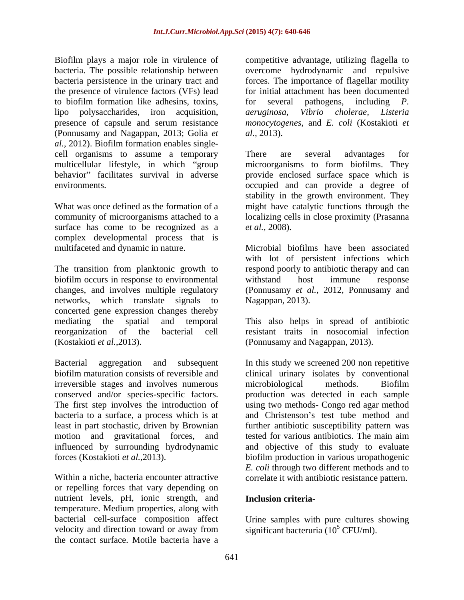Biofilm plays a major role in virulence of competitive advantage, utilizing flagella to bacteria. The possible relationship between overcome hydrodynamic and repulsive bacteria persistence in the urinary tract and the presence of virulence factors (VFs) lead for initial attachment has been documented to biofilm formation like adhesins, toxins, entity of several pathogens, including P. lipo polysaccharides, iron acquisition, aeruginosa, Vibrio cholerae, Listeria presence of capsule and serum resistance *monocytogenes*, and *E. coli* (Kostakioti *et*  (Ponnusamy and Nagappan, 2013; Golia *et al.,* 2012). Biofilm formation enables single cell organisms to assume a temporary There are several advantages for

surface has come to be recognized as a  $et al., 2008$ . complex developmental process that is

The transition from planktonic growth to respond poorly to antibiotic therapy and can biofilm occurs in response to environmental withstand host immune response changes, and involves multiple regulatory (Ponnusamy *et al.,* 2012, Ponnusamy and networks, which translate signals to concerted gene expression changes thereby mediating the spatial and temporal This also helps in spread of antibiotic reorganization of the bacterial cell resistant traits in nosocomial infection (Kostakioti *et al.,*2013). (Ponnusamy and Nagappan, 2013).

irreversible stages and involves numerous conserved and/or species-specific factors. The first step involves the introduction of bacteria to a surface, a process which is at

or repelling forces that vary depending on nutrient levels, pH, ionic strength, and **Inclusion criteria**temperature. Medium properties, along with bacterial cell-surface composition affect Urine samples with pure cultures showing velocity and direction toward or away from the contact surface. Motile bacteria have a

forces. The importance of flagellar motility for several pathogens, including *P. aeruginosa*, *Vibrio cholerae, Listeria al.,* 2013).

multicellular lifestyle, in which "group microorganisms to form biofilms. They behavior" facilitates survival in adverse provide enclosed surface space which is environments. occupied and can provide a degree of What was once defined as the formation of a might have catalytic functions through the community of microorganisms attached to a localizing cells in close proximity (Prasanna There are several advantages for stability in the growth environment. They *et al.,* 2008).

multifaceted and dynamic in nature. Microbial biofilms have been associated with lot of persistent infections which withstand host immune response Nagappan, 2013).

Bacterial aggregation and subsequent In this study we screened 200 non repetitive biofilm maturation consists of reversible and clinical urinary isolates by conventional least in part stochastic, driven by Brownian further antibiotic susceptibility pattern was motion and gravitational forces, and tested for various antibiotics. The main aim influenced by surrounding hydrodynamic and objective of this study to evaluate forces (Kostakioti *et al.,*2013). biofilm production in various uropathogenic Within a niche, bacteria encounter attractive correlate it with antibiotic resistance pattern. microbiological methods. Biofilm production was detected in each sample using two methods- Congo red agar method and Christenson's test tube method and *E. coli* through two different methods and to

### **Inclusion criteria-**

significant bacteruria  $(10^5 \text{ CFU/ml})$ .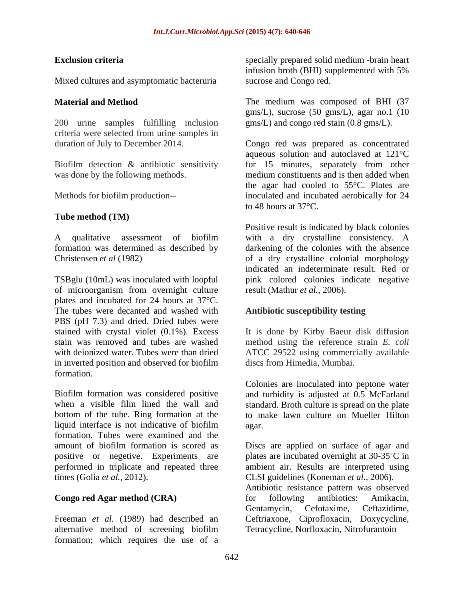Mixed cultures and asymptomatic bacteruria

200 urine samples fulfilling inclusion criteria were selected from urine samples in

# **Tube method (TM)**

TSBglu (10mL) was inoculated with loopful pink colored colonies indicate negative of microorganism from overnight culture plates and incubated for 24 hours at 37°C. The tubes were decanted and washed with PBS (pH 7.3) and dried. Dried tubes were stained with crystal violet (0.1%). Excess It is done by Kirby Baeur disk diffusion stain was removed and tubes are washed method using the reference strain *E. coli* with deionized water. Tubes were than dried ATCC 29522 using commercially available in inverted position and observed for biofilm formation.

Biofilm formation was considered positive and turbidity is adjusted at 0.5 McFarland when a visible film lined the wall and standard. Broth culture is spread on the plate bottom of the tube. Ring formation at the to make lawn culture on Mueller Hilton liquid interface is not indicative of biofilm formation. Tubes were examined and the amount of biofilm formation is scored as Discs are applied on surface of agar and positive or negetive. Experiments are plates are incubated overnight at 30-35 °C in performed in triplicate and repeated three ambient air. Results are interpreted using times (Golia *et al.,* 2012). CLSI guidelines (Koneman *et al.,* 2006).

Freeman *et al.* (1989) had described an Ceftriaxone, Ciprofloxacin, Doxycycline, alternative method of screening biofilm formation; which requires the use of a

**Exclusion criteria** extending the specially prepared solid medium -brain heart infusion broth (BHI) supplemented with 5% sucrose and Congo red.

**Material and Method The medium was composed of BHI (37** gms/L), sucrose (50 gms/L), agar no.1 (10 gms/L) and congo red stain (0.8 gms/L).

duration of July to December 2014. Congo red was prepared as concentrated Biofilm detection & antibiotic sensitivity for 15 minutes, separately from other was done by the following methods. medium constituents and is then added when Methods for biofilm production-- inoculated and incubated aerobically for 24 aqueous solution and autoclaved at 121°C the agar had cooled to 55°C. Plates are to 48 hours at 37°C.

A qualitative assessment of biofilm with a dry crystalline consistency. A formation was determined as described by darkening of the colonies with the absence Christensen *et al* (1982) of a dry crystalline colonial morphology Positive result is indicated by black colonies indicated an indeterminate result. Red or result (Mathur *et al.,* 2006).

# **Antibiotic susceptibility testing**

discs from Himedia, Mumbai.

Colonies are inoculated into peptone water agar.

**Congo red Agar method (CRA)** *Congo red Agar method (CRA) Congo for following antibiotics: Amikacin,* Antibiotic resistance pattern was observed for following antibiotics: Amikacin, Gentamycin, Cefotaxime, Ceftazidime, Ceftriaxone, Ciprofloxacin, Doxycycline, Tetracycline, Norfloxacin, Nitrofurantoin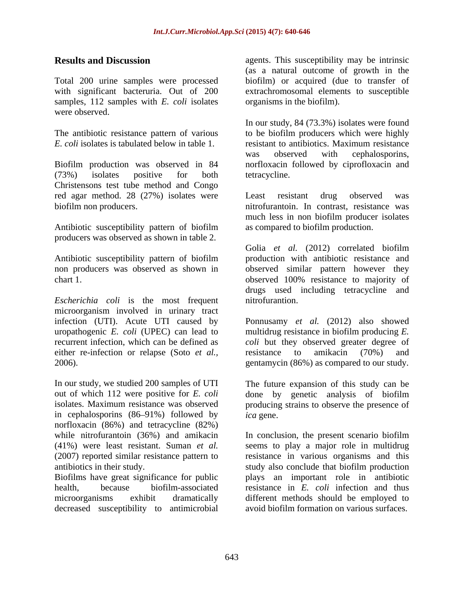Total 200 urine samples were processed biofilm) or acquired (due to transfer of with significant bacteruria. Out of 200 extrachromosomal elements to susceptible samples, 112 samples with *E. coli* isolates were observed.

*E. coli* isolates is tabulated below in table 1.

(73%) isolates positive for both Christensons test tube method and Congo red agar method. 28 (27%) isolates were Least resistant drug observed was biofilm non producers. nitrofurantoin. In contrast, resistance was

Antibiotic susceptibility pattern of biofilm producers was observed as shown in table 2.

*Escherichia coli* is the most frequent microorganism involved in urinary tract recurrent infection, which can be defined as either re-infection or relapse (Soto *et al.*, resistance to amikacin (70%) and

In our study, we studied 200 samples of UTI The future expansion of this study can be out of which 112 were positive for *E. coli* done by genetic analysis of biofilm isolates. Maximum resistance was observed producing strains to observe the presence of in cephalosporins  $(86-91\%)$  followed by *ica* gene. norfloxacin (86%) and tetracycline (82%)

decreased susceptibility to antimicrobial

**Results and Discussion agents.** This susceptibility may be intrinsic (as a natural outcome of growth in the organisms in the biofilm).

The antibiotic resistance pattern of various to be biofilm producers which were highly Biofilm production was observed in 84 norfloxacin followed by ciprofloxacin and In our study, 84 (73.3%) isolates were found resistant to antibiotics. Maximum resistance was observed with cephalosporins, tetracycline.

> Least resistant drug observed was much less in non biofilm producer isolates as compared to biofilm production.

Antibiotic susceptibility pattern of biofilm production with antibiotic resistance and non producers was observed as shown in observed similar pattern however they chart 1. observed 100% resistance to majority of Golia *et al.* (2012) correlated biofilm drugs used including tetracycline and nitrofurantion.

infection (UTI). Acute UTI caused by Ponnusamy *et al.* (2012) also showed uropathogenic *E. coli* (UPEC) can lead to multidrug resistance in biofilm producing *E.* 2006). gentamycin (86%) as compared to our study. *coli* but they observed greater degree of resistance to amikacin (70%) and

*ica* gene.

while nitrofurantoin (36%) and amikacin In conclusion, the present scenario biofilm (41%) were least resistant. Suman *et al.* seems to play a major role in multidrug (2007) reported similar resistance pattern to resistance in various organisms and this antibiotics in their study. study also conclude that biofilm production Biofilms have great significance for public plays an important role in antibiotic health, because biofilm-associated resistance in *E. coli* infection and thus microorganisms exhibit dramatically different methods should be employed to avoid biofilm formation on various surfaces.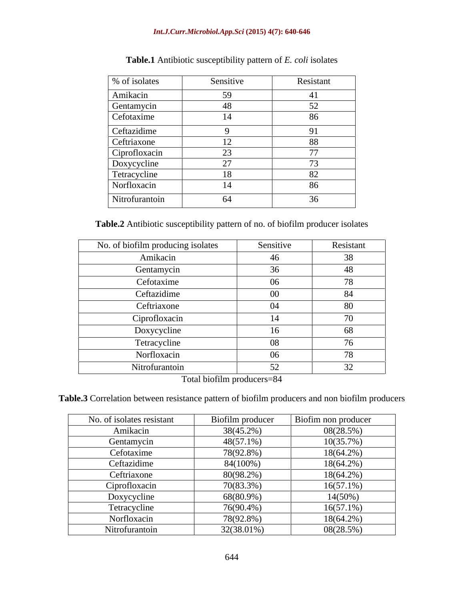| % of isolates  | Sensitive | Resistant |
|----------------|-----------|-----------|
| Amikacin       | 50        |           |
| Gentamycin     | 48        | 57        |
| Cefotaxime     | 14        | 86        |
| Ceftazidime    |           |           |
| Ceftriaxone    |           | 88        |
| Ciprofloxacin  | 23        | --        |
| Doxycycline    | $\sim$    | 70        |
| Tetracycline   |           | 82        |
| Norfloxacin    | 14        | 86        |
| Nitrofurantoin | 64        | 36        |

**Table.1** Antibiotic susceptibility pattern of *E. coli* isolates

**Table.2** Antibiotic susceptibility pattern of no. of biofilm producer isolates

| No. of biofilm producing isolates | Sensitive      | Resistant |
|-----------------------------------|----------------|-----------|
| Amikacin                          | 46             | 38        |
| Gentamycin                        | 36             | 48        |
| Cefotaxime                        | 06             | 78        |
| Ceftazidime                       | $00\,$         | 84        |
| Ceftriaxone                       | $\Omega$<br>V4 | 80        |
| Ciprofloxacin                     |                | 70        |
| Doxycycline                       | Iб             | 68        |
| Tetracycline                      | 08             | 76        |
| Norfloxacin                       | 06             | 78        |
| Nitrofurantoin                    | 52             | 32        |

Total biofilm producers=84

**Table.3** Correlation between resistance pattern of biofilm producers and non biofilm producers

| No. of isolates resistant | Biofilm producer | Biofim non producer |
|---------------------------|------------------|---------------------|
| Amikacin                  | 38(45.2%)        | 08(28.5%)           |
| Gentamycin                | $48(57.1\%)$     | 10(35.7%)           |
| Cefotaxime                | 78(92.8%)        | $18(64.2\%)$        |
| Ceftazidime               | 84(100%)         | $18(64.2\%)$        |
| Ceftriaxone               | 80(98.2%)        | $18(64.2\%)$        |
| Ciprofloxacin             | 70(83.3%)        | $16(57.1\%)$        |
| Doxycycline               | 68(80.9%)        | 14(50%)             |
| Tetracycline              | 76(90.4%)        | $16(57.1\%)$        |
| Norfloxacin               | 78(92.8%)        | $18(64.2\%)$        |
| Nitrofurantoin            | 32(38.01%)       | 08(28.5%)           |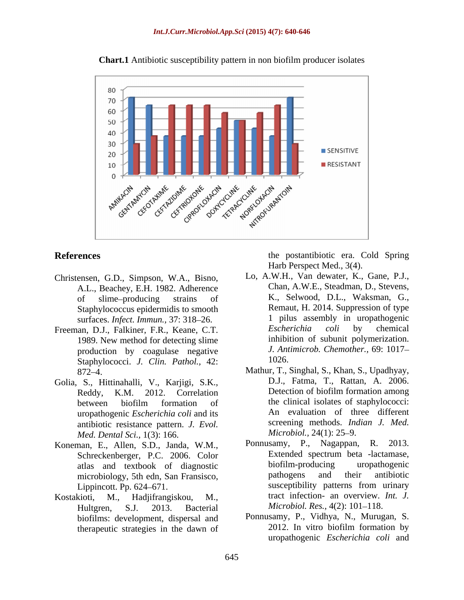

**Chart.1** Antibiotic susceptibility pattern in non biofilm producer isolates

- Christensen, G.D., Simpson, W.A., Bisno, A.L., Beachey, E.H. 1982. Adherence Staphylococcus epidermidis to smooth
- Freeman, D.J., Falkiner, F.R., Keane, C.T. 1989. New method for detecting slime production by coagulase negative  $J. Ant$ <br>Stanbylococci  $J. Clin$  Pathol  $A2: 1026.$ Staphylococci. *J. Clin. Pathol.,* 42:
- Golia, S., Hittinahalli, V., Karjigi, S.K., uropathogenic *Escherichia coli* and its antibiotic resistance pattern. *J. Evol.* screening methods. *Inc. Med. Dental Sci.* 1(3): 166 *Microbiol.*, 24(1): 25–9. *Med. Dental Sci.,* 1(3): 166.
- Koneman, E., Allen, S.D., Janda, W.M., microbiology, 5th edn, San Fransisco,
- Hultgren, S.J. 2013. Bacterial *Microbiol. Res., 4(2)*: 101–118. therapeutic strategies in the dawn of

**References** the postantibiotic era. Cold Spring Harb Perspect Med., 3(4).

- of slime producing strains of K., Selwood, D.L., Waksman, G., surfaces. *Infect. Immun.*, 37: 318–26. <br> **an DI** Falkiner FR Keane CT *Escherichia coli* by chemical Lo, A.W.H., Van dewater, K., Gane, P.J., Chan, A.W.E., Steadman, D., Stevens, Remaut, H. 2014. Suppression of type 1 pilus assembly in uropathogenic *Escherichia coli* by chemical inhibition of subunit polymerization. *J. Antimicrob. Chemother.,* 69: 1017 1026.
- 872 4. Mathur, T., Singhal, S., Khan, S., Upadhyay, Reddy, K.M. 2012. Correlation Detection of biofilm formation among between biofilm formation of the clinical isolates of staphylococci: D.J., Fatma, T., Rattan, A. 2006. Detection of biofilm formation among the clinical isolates of staphylococci: An evaluation of three different screening methods. *Indian J. Med. Microbiol.,* 24(1): 25–9.
- Schreckenberger, P.C. 2006. Color Extended spectrum beta -lactamase,<br>atlas and textbook of diagnostic biofilm-producing uropathogenic atlas and textbook of diagnostic biofilm-producing uropathogenic<br>microbiology 5th edn San-Fransisco pathogens and their antibiotic Lippincott. Pp. 624–671. Susceptibility patterns from urinary Kostakioti, M., Hadjifrangiskou, M., tract infection- an overview. *Int. J.* Ponnusamy, P., Nagappan, R. 2013. Extended spectrum beta -lactamase, biofilm-producing uropathogenic pathogens and their antibiotic susceptibility patterns from urinary
	- biofilms: development, dispersal and <br>the ponnusamy, P., Vidhya, N., Murugan, S.<br>therapeutic strategies in the dawn of 2012. In vitro biofilm formation by Ponnusamy, P., Vidhya, N., Murugan, S. 2012. In vitro biofilm formation by uropathogenic *Escherichia coli* and